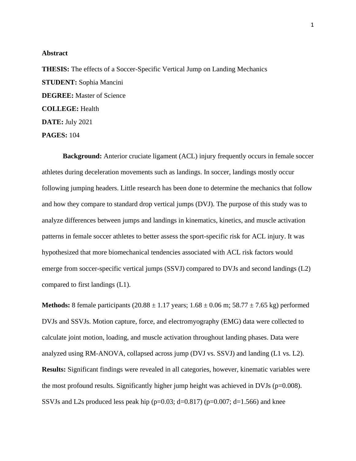## **Abstract**

**THESIS:** The effects of a Soccer-Specific Vertical Jump on Landing Mechanics **STUDENT:** Sophia Mancini **DEGREE:** Master of Science **COLLEGE:** Health **DATE:** July 2021 **PAGES:** 104

**Background:** Anterior cruciate ligament (ACL) injury frequently occurs in female soccer athletes during deceleration movements such as landings. In soccer, landings mostly occur following jumping headers. Little research has been done to determine the mechanics that follow and how they compare to standard drop vertical jumps (DVJ). The purpose of this study was to analyze differences between jumps and landings in kinematics, kinetics, and muscle activation patterns in female soccer athletes to better assess the sport-specific risk for ACL injury. It was hypothesized that more biomechanical tendencies associated with ACL risk factors would emerge from soccer-specific vertical jumps (SSVJ) compared to DVJs and second landings (L2) compared to first landings (L1).

**Methods:** 8 female participants  $(20.88 \pm 1.17 \text{ years}; 1.68 \pm 0.06 \text{ m}; 58.77 \pm 7.65 \text{ kg})$  performed DVJs and SSVJs. Motion capture, force, and electromyography (EMG) data were collected to calculate joint motion, loading, and muscle activation throughout landing phases. Data were analyzed using RM-ANOVA, collapsed across jump (DVJ vs. SSVJ) and landing (L1 vs. L2). **Results:** Significant findings were revealed in all categories, however, kinematic variables were the most profound results. Significantly higher jump height was achieved in DVJs ( $p=0.008$ ). SSVJs and L2s produced less peak hip ( $p=0.03$ ; d=0.817) ( $p=0.007$ ; d=1.566) and knee